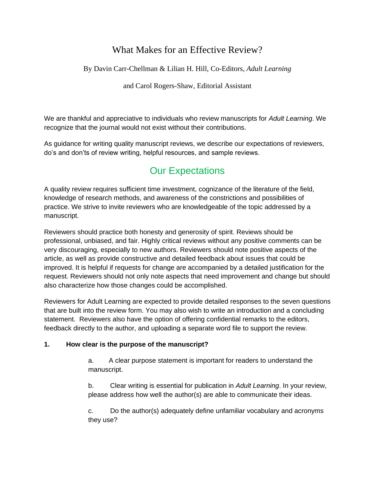# What Makes for an Effective Review?

By Davin Carr-Chellman & Lilian H. Hill, Co-Editors, *Adult Learning*

and Carol Rogers-Shaw*,* Editorial Assistant

We are thankful and appreciative to individuals who review manuscripts for *Adult Learning*. We recognize that the journal would not exist without their contributions.

As guidance for writing quality manuscript reviews, we describe our expectations of reviewers, do's and don'ts of review writing, helpful resources, and sample reviews.

# Our Expectations

A quality review requires sufficient time investment, cognizance of the literature of the field, knowledge of research methods, and awareness of the constrictions and possibilities of practice. We strive to invite reviewers who are knowledgeable of the topic addressed by a manuscript.

Reviewers should practice both honesty and generosity of spirit. Reviews should be professional, unbiased, and fair. Highly critical reviews without any positive comments can be very discouraging, especially to new authors. Reviewers should note positive aspects of the article, as well as provide constructive and detailed feedback about issues that could be improved. It is helpful if requests for change are accompanied by a detailed justification for the request. Reviewers should not only note aspects that need improvement and change but should also characterize how those changes could be accomplished.

Reviewers for Adult Learning are expected to provide detailed responses to the seven questions that are built into the review form. You may also wish to write an introduction and a concluding statement. Reviewers also have the option of offering confidential remarks to the editors, feedback directly to the author, and uploading a separate word file to support the review.

## **1. How clear is the purpose of the manuscript?**

a. A clear purpose statement is important for readers to understand the manuscript.

b. Clear writing is essential for publication in *Adult Learning*. In your review, please address how well the author(s) are able to communicate their ideas.

c. Do the author(s) adequately define unfamiliar vocabulary and acronyms they use?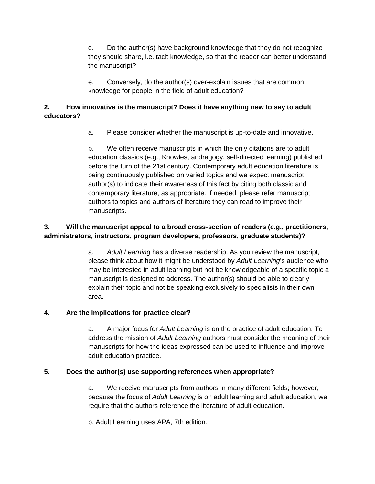d. Do the author(s) have background knowledge that they do not recognize they should share, i.e. tacit knowledge, so that the reader can better understand the manuscript?

e. Conversely, do the author(s) over-explain issues that are common knowledge for people in the field of adult education?

## **2. How innovative is the manuscript? Does it have anything new to say to adult educators?**

a. Please consider whether the manuscript is up-to-date and innovative.

b. We often receive manuscripts in which the only citations are to adult education classics (e.g., Knowles, andragogy, self-directed learning) published before the turn of the 21st century. Contemporary adult education literature is being continuously published on varied topics and we expect manuscript author(s) to indicate their awareness of this fact by citing both classic and contemporary literature, as appropriate. If needed, please refer manuscript authors to topics and authors of literature they can read to improve their manuscripts.

# **3. Will the manuscript appeal to a broad cross-section of readers (e.g., practitioners, administrators, instructors, program developers, professors, graduate students)?**

a. *Adult Learning* has a diverse readership. As you review the manuscript, please think about how it might be understood by *Adult Learning*'s audience who may be interested in adult learning but not be knowledgeable of a specific topic a manuscript is designed to address. The author(s) should be able to clearly explain their topic and not be speaking exclusively to specialists in their own area.

# **4. Are the implications for practice clear?**

a. A major focus for *Adult Learning* is on the practice of adult education. To address the mission of *Adult Learning* authors must consider the meaning of their manuscripts for how the ideas expressed can be used to influence and improve adult education practice.

# **5. Does the author(s) use supporting references when appropriate?**

a. We receive manuscripts from authors in many different fields; however, because the focus of *Adult Learning* is on adult learning and adult education, we require that the authors reference the literature of adult education.

b. Adult Learning uses APA, 7th edition.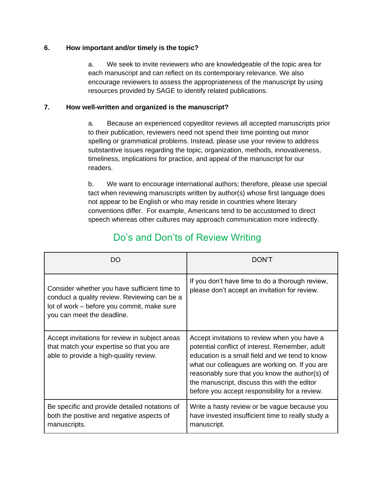## **6. How important and/or timely is the topic?**

a. We seek to invite reviewers who are knowledgeable of the topic area for each manuscript and can reflect on its contemporary relevance. We also encourage reviewers to assess the appropriateness of the manuscript by using resources provided by SAGE to identify related publications.

## **7. How well-written and organized is the manuscript?**

a. Because an experienced copyeditor reviews all accepted manuscripts prior to their publication, reviewers need not spend their time pointing out minor spelling or grammatical problems. Instead, please use your review to address substantive issues regarding the topic, organization, methods, innovativeness, timeliness, implications for practice, and appeal of the manuscript for our readers.

b. We want to encourage international authors; therefore, please use special tact when reviewing manuscripts written by author(s) whose first language does not appear to be English or who may reside in countries where literary conventions differ. For example, Americans tend to be accustomed to direct speech whereas other cultures may approach communication more indirectly.

| חח                                                                                                                                                                       | DON'T                                                                                                                                                                                                                                                                                                                                                   |  |
|--------------------------------------------------------------------------------------------------------------------------------------------------------------------------|---------------------------------------------------------------------------------------------------------------------------------------------------------------------------------------------------------------------------------------------------------------------------------------------------------------------------------------------------------|--|
| Consider whether you have sufficient time to<br>conduct a quality review. Reviewing can be a<br>lot of work – before you commit, make sure<br>you can meet the deadline. | If you don't have time to do a thorough review,<br>please don't accept an invitation for review.                                                                                                                                                                                                                                                        |  |
| Accept invitations for review in subject areas<br>that match your expertise so that you are<br>able to provide a high-quality review.                                    | Accept invitations to review when you have a<br>potential conflict of interest. Remember, adult<br>education is a small field and we tend to know<br>what our colleagues are working on. If you are<br>reasonably sure that you know the author(s) of<br>the manuscript, discuss this with the editor<br>before you accept responsibility for a review. |  |
| Be specific and provide detailed notations of<br>both the positive and negative aspects of<br>manuscripts.                                                               | Write a hasty review or be vague because you<br>have invested insufficient time to really study a<br>manuscript.                                                                                                                                                                                                                                        |  |

# Do's and Don'ts of Review Writing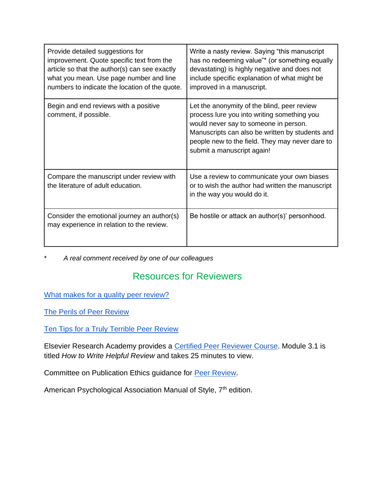| Provide detailed suggestions for<br>improvement. Quote specific text from the<br>article so that the author(s) can see exactly<br>what you mean. Use page number and line<br>numbers to indicate the location of the quote. | Write a nasty review. Saying "this manuscript"<br>has no redeeming value"* (or something equally<br>devastating) is highly negative and does not<br>include specific explanation of what might be<br>improved in a manuscript.                                          |
|-----------------------------------------------------------------------------------------------------------------------------------------------------------------------------------------------------------------------------|-------------------------------------------------------------------------------------------------------------------------------------------------------------------------------------------------------------------------------------------------------------------------|
| Begin and end reviews with a positive<br>comment, if possible.                                                                                                                                                              | Let the anonymity of the blind, peer review<br>process lure you into writing something you<br>would never say to someone in person.<br>Manuscripts can also be written by students and<br>people new to the field. They may never dare to<br>submit a manuscript again! |
| Compare the manuscript under review with<br>the literature of adult education.                                                                                                                                              | Use a review to communicate your own biases<br>or to wish the author had written the manuscript<br>in the way you would do it.                                                                                                                                          |
| Consider the emotional journey an author(s)<br>may experience in relation to the review.                                                                                                                                    | Be hostile or attack an author(s)' personhood.                                                                                                                                                                                                                          |

\* *A real comment received by one of our colleagues*

# Resources for Reviewers

[What makes for a quality peer review?](https://blog.taaonline.net/2019/09/what-makes-for-a-quality-review-taa-members-perspectives/)

[The Perils of Peer Review](https://www.apa.org/gradpsych/2003/05/peerreview)

[Ten Tips for a Truly Terrible Peer Review](https://www.elsevier.com/connect/reviewers-update/ten-tips-for-a-truly-terrible-peer-review)

Elsevier Rese[a](https://researcheracademy.elsevier.com/navigating-peer-review/certified-peer-reviewer-course)rch Academy provides a [Certified Peer Reviewer Course.](https://researcheracademy.elsevier.com/navigating-peer-review/certified-peer-reviewer-course) Module 3.1 is titled *How to Write Helpful Review* and takes 25 minutes to view.

Committee on Publication Ethics guidance for [Peer Review.](https://publicationethics.org/peerreview)

American Psychological Association Manual of Style, 7<sup>th</sup> edition.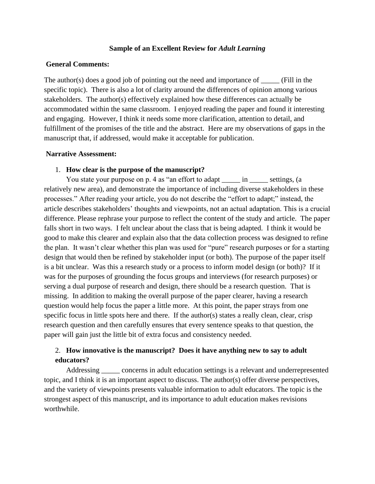#### **Sample of an Excellent Review for** *Adult Learning*

#### **General Comments:**

The author(s) does a good job of pointing out the need and importance of \_\_\_\_\_ (Fill in the specific topic). There is also a lot of clarity around the differences of opinion among various stakeholders. The author(s) effectively explained how these differences can actually be accommodated within the same classroom. I enjoyed reading the paper and found it interesting and engaging. However, I think it needs some more clarification, attention to detail, and fulfillment of the promises of the title and the abstract. Here are my observations of gaps in the manuscript that, if addressed, would make it acceptable for publication.

#### **Narrative Assessment:**

#### 1. **How clear is the purpose of the manuscript?**

You state your purpose on p. 4 as "an effort to adapt \_\_\_\_\_\_ in \_\_\_\_\_\_ settings, (a relatively new area), and demonstrate the importance of including diverse stakeholders in these processes." After reading your article, you do not describe the "effort to adapt;" instead, the article describes stakeholders' thoughts and viewpoints, not an actual adaptation. This is a crucial difference. Please rephrase your purpose to reflect the content of the study and article. The paper falls short in two ways. I felt unclear about the class that is being adapted. I think it would be good to make this clearer and explain also that the data collection process was designed to refine the plan. It wasn't clear whether this plan was used for "pure" research purposes or for a starting design that would then be refined by stakeholder input (or both). The purpose of the paper itself is a bit unclear. Was this a research study or a process to inform model design (or both)? If it was for the purposes of grounding the focus groups and interviews (for research purposes) or serving a dual purpose of research and design, there should be a research question. That is missing. In addition to making the overall purpose of the paper clearer, having a research question would help focus the paper a little more. At this point, the paper strays from one specific focus in little spots here and there. If the author(s) states a really clean, clear, crisp research question and then carefully ensures that every sentence speaks to that question, the paper will gain just the little bit of extra focus and consistency needed.

## 2. **How innovative is the manuscript? Does it have anything new to say to adult educators?**

Addressing concerns in adult education settings is a relevant and underrepresented topic, and I think it is an important aspect to discuss. The author(s) offer diverse perspectives, and the variety of viewpoints presents valuable information to adult educators. The topic is the strongest aspect of this manuscript, and its importance to adult education makes revisions worthwhile.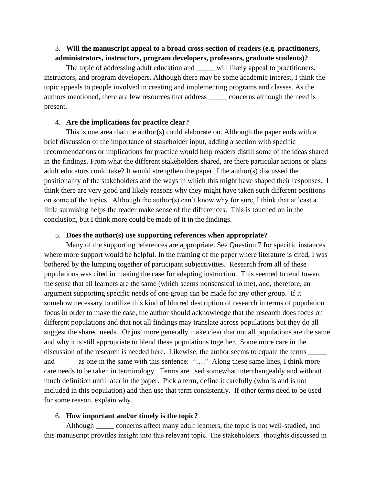## 3. **Will the manuscript appeal to a broad cross-section of readers (e.g. practitioners, administrators, instructors, program developers, professors, graduate students)?**

The topic of addressing adult education and \_\_\_\_\_ will likely appeal to practitioners, instructors, and program developers. Although there may be some academic interest, I think the topic appeals to people involved in creating and implementing programs and classes. As the authors mentioned, there are few resources that address \_\_\_\_\_ concerns although the need is present.

#### 4. **Are the implications for practice clear?**

 This is one area that the author(s) could elaborate on. Although the paper ends with a brief discussion of the importance of stakeholder input, adding a section with specific recommendations or implications for practice would help readers distill some of the ideas shared in the findings. From what the different stakeholders shared, are there particular actions or plans adult educators could take? It would strengthen the paper if the author(s) discussed the positionality of the stakeholders and the ways in which this might have shaped their responses. I think there are very good and likely reasons why they might have taken such different positions on some of the topics. Although the author(s) can't know why for sure, I think that at least a little surmising helps the reader make sense of the differences. This is touched on in the conclusion, but I think more could be made of it in the findings.

#### 5. **Does the author(s) use supporting references when appropriate?**

 Many of the supporting references are appropriate. See Question 7 for specific instances where more support would be helpful. In the framing of the paper where literature is cited, I was bothered by the lumping together of participant subjectivities. Research from all of these populations was cited in making the case for adapting instruction. This seemed to tend toward the sense that all learners are the same (which seems nonsensical to me), and, therefore, an argument supporting specific needs of one group can be made for any other group. If it somehow necessary to utilize this kind of blurred description of research in terms of population focus in order to make the case, the author should acknowledge that the research does focus on different populations and that not all findings may translate across populations but they do all suggest the shared needs. Or just more generally make clear that not all populations are the same and why it is still appropriate to blend these populations together. Some more care in the discussion of the research is needed here. Likewise, the author seems to equate the terms  $\qquad \qquad$ and as one in the same with this sentence: "…." Along these same lines, I think more care needs to be taken in terminology. Terms are used somewhat interchangeably and without much definition until later in the paper. Pick a term, define it carefully (who is and is not included in this population) and then use that term consistently. If other terms need to be used for some reason, explain why.

### 6. **How important and/or timely is the topic?**

 Although \_\_\_\_\_ concerns affect many adult learners, the topic is not well-studied, and this manuscript provides insight into this relevant topic. The stakeholders' thoughts discussed in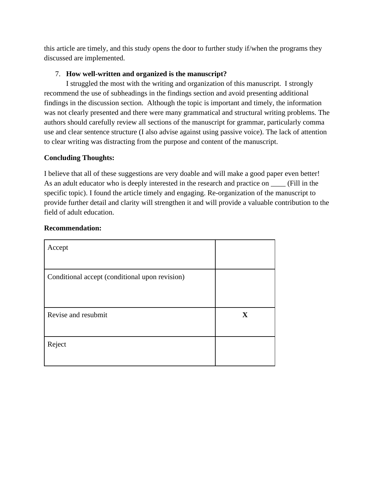this article are timely, and this study opens the door to further study if/when the programs they discussed are implemented.

## 7. **How well-written and organized is the manuscript?**

 I struggled the most with the writing and organization of this manuscript. I strongly recommend the use of subheadings in the findings section and avoid presenting additional findings in the discussion section. Although the topic is important and timely, the information was not clearly presented and there were many grammatical and structural writing problems. The authors should carefully review all sections of the manuscript for grammar, particularly comma use and clear sentence structure (I also advise against using passive voice). The lack of attention to clear writing was distracting from the purpose and content of the manuscript.

## **Concluding Thoughts:**

I believe that all of these suggestions are very doable and will make a good paper even better! As an adult educator who is deeply interested in the research and practice on  $\_\_\_\_$ (Fill in the specific topic). I found the article timely and engaging. Re-organization of the manuscript to provide further detail and clarity will strengthen it and will provide a valuable contribution to the field of adult education.

| Accept                                         |              |
|------------------------------------------------|--------------|
| Conditional accept (conditional upon revision) |              |
| Revise and resubmit                            | $\mathbf{X}$ |
| Reject                                         |              |

## **Recommendation:**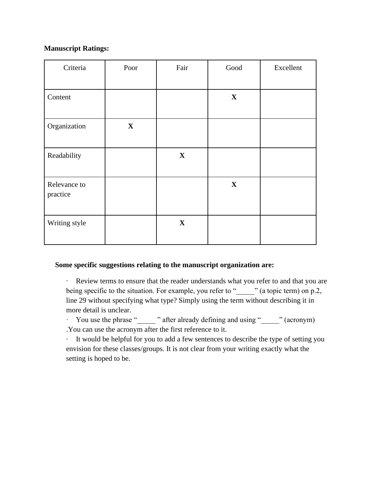## **Manuscript Ratings:**

| Criteria                 | Poor         | Fair         | $\operatorname{Good}$ | Excellent |
|--------------------------|--------------|--------------|-----------------------|-----------|
| Content                  |              |              | $\mathbf X$           |           |
| Organization             | $\mathbf{X}$ |              |                       |           |
| Readability              |              | $\mathbf{X}$ |                       |           |
| Relevance to<br>practice |              |              | $\mathbf{X}$          |           |
| Writing style            |              | $\mathbf{X}$ |                       |           |

### **Some specific suggestions relating to the manuscript organization are:**

· Review terms to ensure that the reader understands what you refer to and that you are being specific to the situation. For example, you refer to "<sup>'</sup> (a topic term) on p.2, line 29 without specifying what type? Simply using the term without describing it in more detail is unclear.

· You use the phrase " " after already defining and using " \_\_\_\_ " (acronym) .You can use the acronym after the first reference to it.

· It would be helpful for you to add a few sentences to describe the type of setting you envision for these classes/groups. It is not clear from your writing exactly what the setting is hoped to be.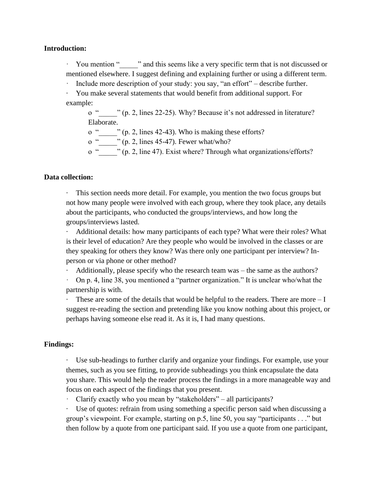### **Introduction:**

You mention "<sup>3</sup> and this seems like a very specific term that is not discussed or mentioned elsewhere. I suggest defining and explaining further or using a different term.

Include more description of your study: you say, "an effort" – describe further.

· You make several statements that would benefit from additional support. For example:

o "\_\_\_\_\_" (p. 2, lines 22-25). Why? Because it's not addressed in literature? Elaborate.

o " $\cdots$  " (p. 2, lines 42-43). Who is making these efforts?

o " $\ldots$  " (p. 2, lines 45-47). Fewer what/who?

o "\_\_\_\_\_" (p. 2, line 47). Exist where? Through what organizations/efforts?

#### **Data collection:**

· This section needs more detail. For example, you mention the two focus groups but not how many people were involved with each group, where they took place, any details about the participants, who conducted the groups/interviews, and how long the groups/interviews lasted.

Additional details: how many participants of each type? What were their roles? What is their level of education? Are they people who would be involved in the classes or are they speaking for others they know? Was there only one participant per interview? Inperson or via phone or other method?

Additionally, please specify who the research team was – the same as the authors?

· On p. 4, line 38, you mentioned a "partner organization." It is unclear who/what the partnership is with.

 $\cdot$  These are some of the details that would be helpful to the readers. There are more  $-I$ suggest re-reading the section and pretending like you know nothing about this project, or perhaps having someone else read it. As it is, I had many questions.

#### **Findings:**

· Use sub-headings to further clarify and organize your findings. For example, use your themes, such as you see fitting, to provide subheadings you think encapsulate the data you share. This would help the reader process the findings in a more manageable way and focus on each aspect of the findings that you present.

· Clarify exactly who you mean by "stakeholders" – all participants?

Use of quotes: refrain from using something a specific person said when discussing a group's viewpoint. For example, starting on p.5, line 50, you say "participants . . ." but then follow by a quote from one participant said. If you use a quote from one participant,